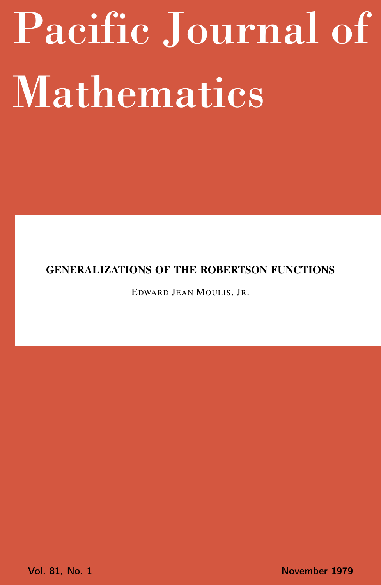# <span id="page-0-0"></span>Pacific Journal of Mathematics

## GENERALIZATIONS OF THE ROBERTSON FUNCTIONS

EDWARD JEAN MOULIS, JR.

Vol. 81, No. 1 November 1979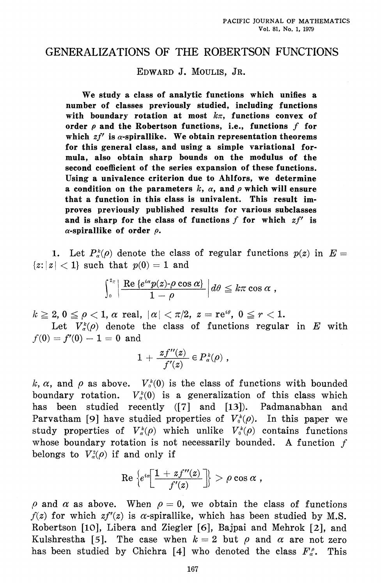## GENERALIZATIONS OF THE ROBERTSON FUNCTIONS

## EDWARD J. MOULIS, JR.

We study a class of analytic functions which unifies a number of classes previously studied, including functions with boundary rotation at most  $k\pi$ , functions convex of order  $\rho$  and the Robertson functions, i.e., functions  $f$  for which  $zf'$  is  $\alpha$ -spirallike. We obtain representation theorems for this general class, and using a simple variational formula, also obtain sharp bounds on the modulus of the second coefficient of the series expansion of these functions. Using a univalence criterion due to Ahlfors, we determine a condition on the parameters k,  $\alpha$ , and  $\rho$  which will ensure that a function in this class is univalent. This result improves previously published results for various subclasses and is sharp for the class of functions  $f$  for which  $zf'$  is  $\alpha$ -spirallike of order  $\rho$ .

1. Let  $P_{\alpha}^{k}(0)$  denote the class of regular functions  $p(z)$  in  $E=$  $|z:|z| < 1$  such that  $p(0) = 1$  and

$$
\int_0^{2\pi}\left|\frac{\mathrm{Re}\left\{e^{i\alpha}p(z)\textrm{-}\rho\cos\alpha\right\}}{1-\rho}\right|d\theta\leq k\pi\cos\alpha\;,
$$

 $k \geq 2, 0 \leq \rho < 1, \alpha$  real,  $|\alpha| < \pi/2, z = \text{re}^{i\theta}, 0 \leq r < 1.$ 

Let  $V_a^k(\rho)$  denote the class of functions regular in E with  $f(0) = f'(0) - 1 = 0$  and

$$
1+\frac{zf^{\prime\prime}(z)}{f^{\prime}(z)}\in P_{\alpha}^{\,k}(\rho)\;,
$$

 $1.1.1 - 1.1$ 

k,  $\alpha$ , and  $\rho$  as above.  $V_0^k(0)$  is the class of functions with bounded boundary rotation.  $V_a^k(0)$  is a generalization of this class which has been studied recently ([7] and [13]). Padmanabhan and Parvatham [9] have studied properties of  $V_0^k(\rho)$ . In this paper we study properties of  $V^k_\alpha(\rho)$  which unlike  $V^k_\alpha(\rho)$  contains functions whose boundary rotation is not necessarily bounded. A function  $f$ belongs to  $V^2_{\alpha}(\rho)$  if and only if

$$
\text{Re}\,\left\{e^{i\alpha}\left[\frac{1+zf^{\prime\prime}(z)}{f^\prime(z)}\right]\right\} > \rho\cos\alpha\;,
$$

 $\rho$  and  $\alpha$  as above. When  $\rho = 0$ , we obtain the class of functions  $f(z)$  for which  $zf'(z)$  is  $\alpha$ -spirallike, which has been studied by M.S. Robertson [10], Libera and Ziegler [6], Bajpai and Mehrok [2], and Kulshrestha [5]. The case when  $k = 2$  but  $\rho$  and  $\alpha$  are not zero has been studied by Chichra [4] who denoted the class  $F_c^c$ . This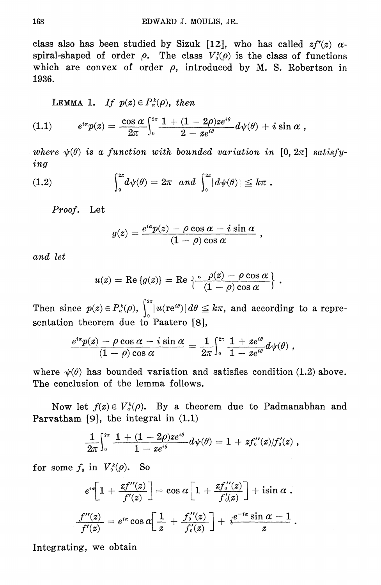class also has been studied by Sizuk [12], who has called  $zf'(z)$   $\alpha$ spiral-shaped of order  $\rho$ . The class  $V_o^2(\rho)$  is the class of functions which are convex of order  $\rho$ , introduced by M. S. Robertson in 1936.

LEMMA 1. If  $p(z) \in P_{\alpha}^{k}(0)$ , then

(1.1) 
$$
e^{i\alpha}p(z) = \frac{\cos \alpha}{2\pi} \int_0^{2\pi} \frac{1 + (1 - 2\rho)ze^{i\theta}}{2 - ze^{i\theta}} d\psi(\theta) + i \sin \alpha,
$$

where  $\psi(\theta)$  is a function with bounded variation in [0,  $2\pi$ ] satisfy $ing$ 

(1.2) 
$$
\int_0^{2\pi} d\psi(\theta) = 2\pi \text{ and } \int_0^{2\pi} |d\psi(\theta)| \leq k\pi.
$$

Proof. Let

$$
g(z) = \frac{e^{i\alpha}p(z) - \rho\cos\alpha - i\sin\alpha}{(1-\rho)\cos\alpha} \; ,
$$

and let

$$
u(z) = \text{Re}\{g(z)\} = \text{Re}\left\{\frac{e^{-\rho(z)} - \rho\cos\alpha}{(1-\rho)\cos\alpha}\right\}.
$$

Then since  $p(z) \in P_{\alpha}^{k}(0)$ ,  $\int_{0}^{2\pi} |u(re^{i\theta})| d\theta \leq k\pi$ , and according to a representation theorem due to Paatero [8],

$$
\frac{e^{i\alpha}p(z)-\rho\cos\alpha-i\sin\alpha}{(1-\rho)\cos\alpha}=\frac{1}{2\pi}\Big\{^{\scriptscriptstyle 2\pi}_{\scriptscriptstyle 0}\,\frac{1+ze^{i\theta}}{1-ze^{i\theta}}d\psi(\theta)\;,
$$

where  $\psi(\theta)$  has bounded variation and satisfies condition (1.2) above. The conclusion of the lemma follows.

Now let  $f(z) \in V^k(\rho)$ . By a theorem due to Padmanabhan and Parvatham  $[9]$ , the integral in  $(1.1)$ 

$$
\frac{1}{2\pi}\Big\}^{\imath\pi}_\mathfrak{o}\, \frac{1+(1-2\rho)z e^{\imath\theta}}{1-z e^{\imath\theta}}d\psi(\theta)=1+z f^{\prime\prime}_\mathfrak{o}(z)/f^{\prime}_\mathfrak{o}(z) \;,
$$

for some  $f_0$  in  $V_0^k(\rho)$ . So

$$
e^{i\alpha} \left[1+\frac{zf^{\prime\prime}(z)}{f^{\prime}(z)}\right]=\cos\alpha \left[1+\frac{zf^{\prime\prime}(z)}{f^{\prime}(z)}\right]+\sin\alpha\;.
$$
  

$$
\frac{f^{\prime\prime}(z)}{f^{\prime}(z)}=e^{i\alpha}\cos\alpha \left[\frac{1}{z}+\frac{f^{\prime\prime}(z)}{f^{\prime\prime}(z)}\right]+\frac{e^{-i\alpha}\sin\alpha-1}{z}\;.
$$

Integrating, we obtain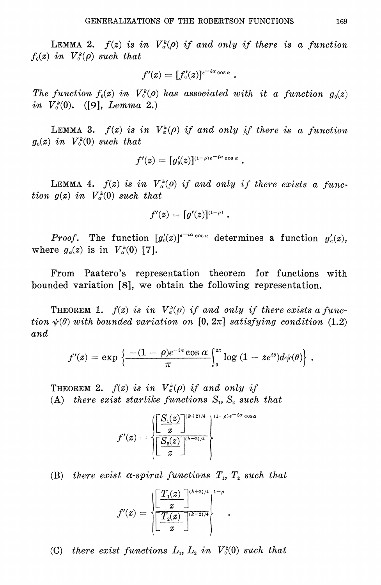**LEMMA 2.**  $f(z)$  is in  $V^k_{\alpha}(\rho)$  if and only if there is a function  $f_0(z)$  in  $V_0^k(\rho)$  such that

$$
f'(z)=[f'_{0}(z)]^{e^{-i\alpha}\cos\alpha}.
$$

The function  $f_0(z)$  in  $V_0^k(\rho)$  has associated with it a function  $g_0(z)$ *in*  $V_0^k(0)$ . ([9], *Lemma* 2.)

**LEMMA 3.**  $f(z)$  is in  $V^k_{\alpha}(\rho)$  if and only if there is a function  $g_0(z)$  in  $V_0^k(0)$  such that

$$
f'(z) = [g'_{\scriptscriptstyle 0}(z)]^{\scriptscriptstyle (1-\rho)\hskip.03cm e^{\scriptscriptstyle -\hskip.03cm i\alpha}\cos\alpha} \ .
$$

**LEMMA 4.**  $f(z)$  is in  $V^k_{\alpha}(\rho)$  if and only if there exists a function  $g(z)$  in  $V^k_\alpha(0)$  such that

$$
f'(z) = [g'(z)]^{\scriptscriptstyle (1-\rho)} \; .
$$

*Proof.* The function  $[g_0'(z)]^{e^{-i\alpha} \cos \alpha}$  determines a function  $g'_0(z)$ , where  $g_{\alpha}(z)$  is in  $V_{\alpha}^{k}(0)$  [7].

From Paatero's representation theorem for functions with bounded variation [8], we obtain the following representation.

**THEOREM 1.**  $f(z)$  is in  $V^k_{\alpha}(0)$  if and only if there exists a function  $\psi(\theta)$  with bounded variation on [0, 2 $\pi$ ] satisfying condition (1.2)  $and$ 

$$
f'(z)=\exp\left\{\frac{-(1-\rho)e^{-i\alpha}\cos\alpha}{\pi}\Big\vert_0^{2\pi}\log\left(1-ze^{i\theta}\right)\!d\psi(\theta)\!\right\}\,.
$$

**THEOREM 2.**  $f(z)$  is in  $V^k_{\alpha}(\rho)$  if and only if (A) there exist starlike functions  $S_1$ ,  $S_2$  such that

$$
f'(z)=\sqrt{\frac{\left[\frac{S_1(z)}{z}\right]^{(k+2)/4}}{\left[\frac{S_2(z)}{z}\right]^{(k-2)/4}}}
$$

(B) there exist  $\alpha$ -spiral functions  $T_1$ ,  $T_2$  such that

$$
f'(z)=\sqrt{\frac{\left[\displaystyle\frac{T_1(z)}{z}\right]^{(k+2)/4}}{\left[\displaystyle\frac{T_2(z)}{z}\right]^{(k-2)/4}}\Bigg|^{1-\rho}}\ .
$$

(C) there exist functions  $L_1$ ,  $L_2$  in  $V_0^2(0)$  such that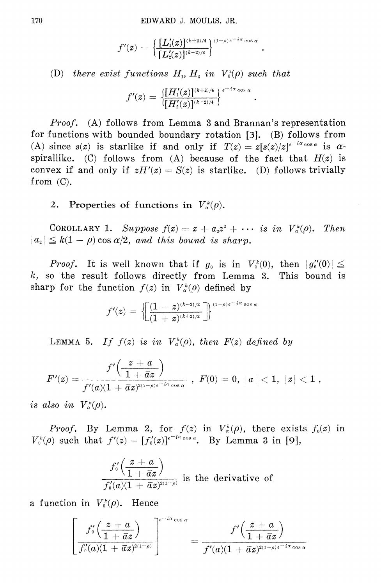$$
f'(z)=\frac{\left\{\frac{[L_1'(z)]^{(k+2)/4}}{[L_2'(z)]^{(k-2)/4}}\right\}^{(1-\rho)e^{-i\alpha}\cos\alpha}}
$$

(D) there exist functions  $H_1$ ,  $H_2$  in  $V_0^2(\rho)$  such that

$$
f'(z)=\frac{\left[\left[H_1'(z)\right]^{(k+2)/4}\right]}{\left[\left[H_2'(z)\right]^{(k-2)/4}\right\}^{e^{-i\alpha}\cos\alpha}}
$$

*Proof.* (A) follows from Lemma 3 and Brannan's representation for functions with bounded boundary rotation [3]. (B) follows from (A) since  $s(z)$  is starlike if and only if  $T(z) = z[s(z)/z]^{e^{-i\alpha}\cos\alpha}$  is  $\alpha$ spirallike. (C) follows from (A) because of the fact that  $H(z)$  is convex if and only if  $zH'(z) = S(z)$  is starlike. (D) follows trivially from  $(C)$ .

2. Properties of functions in  $V_{\alpha}^{k}(\rho)$ .

COROLLARY 1. Suppose  $f(z) = z + a_z z^2 + \cdots$  is in  $V^k_{\alpha}(\rho)$ . Then  $|a_2| \leq k(1-\rho)\cos \alpha/2$ , and this bound is sharp.

*Proof.* It is well known that if  $g_0$  is in  $V_0^k(0)$ , then  $|g_0''(0)| \le$  $k$ , so the result follows directly from Lemma 3. This bound is sharp for the function  $f(z)$  in  $V^k_{\alpha}(\rho)$  defined by

$$
f'(z)=\left\{\!\!\left[\frac{(1-z)^{(k-2)/2}}{(1+z)^{(k+2)/2}}\right]\!\!\right\}^{{\rm (1-\rho)}e^{-\,i\alpha}\cos\alpha}
$$

LEMMA 5. If  $f(z)$  is in  $V^k_\alpha(\rho)$ , then  $F(z)$  defined by

$$
F'(z)=\frac{f'\Bigl(\frac{z+a}{1+\bar a z}\Bigr)}{f'(a)(1+\bar a z)^{^{2(1-\rho)\mathfrak{e}^{-i\alpha}\cos\alpha}}}\,\,,\,\,F(0)=0,\,\,|a|<1,\,\,|z|<1\,\,,
$$

is also in  $V^k_\alpha(\rho)$ .

*Proof.* By Lemma 2, for  $f(z)$  in  $V_{\alpha}^{k}(\rho)$ , there exists  $f_{0}(z)$  in  $V_0^k(\rho)$  such that  $f'(z) = [f_0'(z)]^{e^{-i\alpha} \cos \alpha}$ . By Lemma 3 in [9],

$$
\frac{f'_0\left(\frac{z+a}{1+\bar{a}z}\right)}{f'_0(a)(1+\bar{a}z)^{2(1-\rho)}}\text{ is the derivative of }
$$

a function in  $V_0^k(\rho)$ . Hence

$$
\left[\frac{f_{\mathfrak{0}}'\Big(\frac{z+a}{1+\bar{a}z}\Big)}{f_{\mathfrak{0}}'(a)(1+\bar{a}z)^{2(1-\rho)}}\right]^{e^{-i\alpha}\cos\alpha}=\frac{f'\Big(\frac{z+a}{1+\bar{a}z}\Big)}{f'(a)(1+\bar{a}z)^{2(1-\rho)e^{-i\alpha}\cos\alpha}}.
$$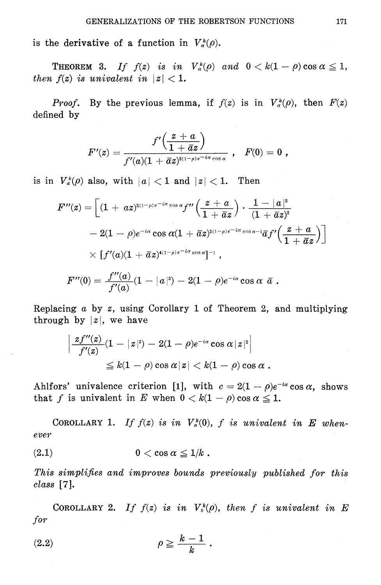is the derivative of a function in  $V_{\alpha}^{k}(\rho)$ .

**THEOREM 3.** If  $f(z)$  is in  $V^k_{\alpha}(\rho)$  and  $0 < k(1 - \rho) \cos \alpha \leq 1$ , then  $f(z)$  is univalent in  $|z| < 1$ .

Proof. By the previous lemma, if  $f(z)$  is in  $V^k_{\alpha}(\rho)$ , then  $F(z)$ defined by

$$
F'(z) = \frac{f'\Big(\frac{z+a}{1+\bar a z}\Big)}{f'(a)(1+\bar a z)^{2(1-\rho)e^{-i\alpha}\cos\alpha}} \,\, , \ \ \, F(0)=0 \,\, ,
$$

is in  $V^k_a(\rho)$  also, with  $|a| < 1$  and  $|z| < 1$ . Then

$$
F''(z)=\left[(1+\,a z)^{2(1-\rho)e^{-i\alpha}\cos\alpha}f''\left(\frac{z+a}{1+\,\bar a z}\right)\cdot\frac{1-|a|^2}{(1+\,\bar a z)^2}\right.\\\left.-\,2(1-\rho)e^{-i\alpha}\cos\alpha(1+\,\bar a z)^{2(1-\rho)e^{-i\alpha}\cos\alpha-1}\bar a f'\left(\frac{z+a}{1+\,\bar a z}\right)\right]\\ \times\left[f'(a)(1+\,\bar a z)^{4(1-\rho)e^{-i\alpha}\cos\alpha}\right]^{-1}\,,\\F''(0)=\frac{f''(a)}{f'(a)}(1-|a|^2)-2(1-\rho)e^{-i\alpha}\cos\alpha\;\;\bar a\;.
$$

Replacing  $a$  by  $z$ , using Corollary 1 of Theorem 2, and multiplying through by  $|z|$ , we have

$$
\begin{aligned} \left| \frac{zf^{\prime\prime}(z)}{f^{\prime}(z)}(1-|z|^2)-2(1-\rho)e^{-i\alpha}\cos\alpha|z|^2\right|\\ \leq k(1-\rho)\cos\alpha|z|
$$

Ahlfors' univalence criterion [1], with  $c = 2(1 - \rho)e^{-i\alpha} \cos \alpha$ , shows that f is univalent in E when  $0 < k(1 - \rho) \cos \alpha \leq 1$ .

COROLLARY 1. If  $f(z)$  is in  $V^k_\alpha(0)$ , f is univalent in E whenever

$$
(2.1) \t\t 0 < \cos \alpha \leq 1/k.
$$

**Secure** 

This simplifies and improves bounds previously published for this  $class$  [7].

COROLLARY 2. If  $f(z)$  is in  $V_0^k(\rho)$ , then f is univalent in E for

$$
(2.2) \t\t \rho \geq \frac{k-1}{k} .
$$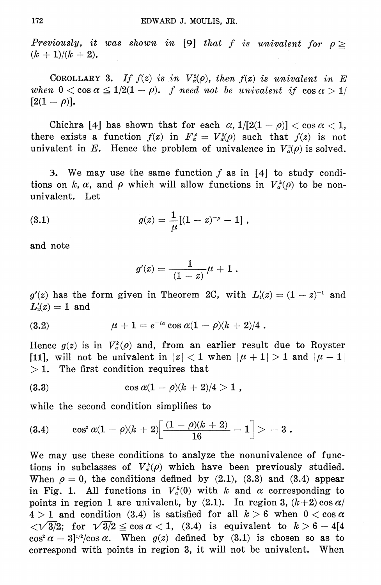Previously, it was shown in [9] that f is univalent for  $\rho \geq$  $(k + 1)/(k + 2)$ .

COROLLARY 3. If  $f(z)$  is in  $V^2_{\alpha}(\rho)$ , then  $f(z)$  is univalent in E when  $0 < \cos \alpha \leq 1/2(1 - \rho)$ , f need not be univalent if  $\cos \alpha > 1/2$  $[2(1-\rho)].$ 

Chichra [4] has shown that for each  $\alpha$ ,  $1/[2(1-\rho)] < \cos \alpha < 1$ , there exists a function  $f(z)$  in  $F_{\alpha}^{\rho} = V_{\alpha}^2(\rho)$  such that  $f(z)$  is not univalent in E. Hence the problem of univalence in  $V^2_{\alpha}(\rho)$  is solved.

3. We may use the same function  $f$  as in [4] to study conditions on k,  $\alpha$ , and  $\rho$  which will allow functions in  $V_{\alpha}^{k}(\rho)$  to be nonunivalent. Let

(3.1) 
$$
g(z) = \frac{1}{\mu} [(1-z)^{-\mu} - 1],
$$

and note

$$
g'(z) = \frac{1}{(1-z)}\mu + 1 \; .
$$

 $g'(z)$  has the form given in Theorem 2C, with  $L'_1(z) = (1-z)^{-1}$  and  $L'_2(z) = 1$  and

(3.2) 
$$
\mu + 1 = e^{-i\alpha} \cos \alpha (1 - \rho)(k + 2)/4.
$$

Hence  $g(z)$  is in  $V^k_{\alpha}(\rho)$  and, from an earlier result due to Royster [11], will not be univalent in  $|z| < 1$  when  $|\mu + 1| > 1$  and  $|\mu - 1|$  $>1$ . The first condition requires that

(3.3) 
$$
\cos \alpha (1 - \rho)(k + 2)/4 > 1,
$$

while the second condition simplifies to

$$
(3.4) \qquad \cos^2\alpha(1-\rho)(k+2)\biggl[\frac{(1-\rho)(k+2)}{16}-1\biggr]>-3\;.
$$

We may use these conditions to analyze the nonunivalence of functions in subclasses of  $V^k_\alpha(\rho)$  which have been previously studied. When  $\rho = 0$ , the conditions defined by (2.1), (3.3) and (3.4) appear in Fig. 1. All functions in  $V_{\alpha}^{k}(0)$  with k and  $\alpha$  corresponding to points in region 1 are univalent, by (2.1). In region 3,  $(k+2) \cos \alpha/$  $4 > 1$  and condition (3.4) is satisfied for all  $k > 6$  when  $0 < \cos \alpha$  $\sqrt{3/2}$ ; for  $\sqrt{3/2} \le \cos \alpha < 1$ , (3.4) is equivalent to  $k > 6 - 4[4]$  $\cos^2 \alpha - 3^{1/2} / \cos \alpha$ . When  $g(z)$  defined by (3.1) is chosen so as to correspond with points in region 3, it will not be univalent. When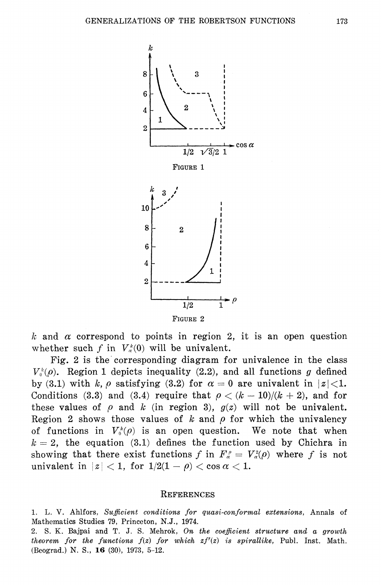

k and  $\alpha$  correspond to points in region 2, it is an open question whether such f in  $V_a^k(0)$  will be univalent.

Fig. 2 is the corresponding diagram for univalence in the class  $V_0^k(\rho)$ . Region 1 depicts inequality (2.2), and all functions g defined by (3.1) with k,  $\rho$  satisfying (3.2) for  $\alpha = 0$  are univalent in  $|z| < 1$ . Conditions (3.3) and (3.4) require that  $\rho < (k-10)/(k+2)$ , and for these values of  $\rho$  and k (in region 3),  $g(z)$  will not be univalent. Region 2 shows those values of  $k$  and  $\rho$  for which the univalency of functions in  $V_0^k(\rho)$  is an open question. We note that when  $k = 2$ , the equation (3.1) defines the function used by Chichra in showing that there exist functions f in  $F_a^{\rho} = V_a^2(\rho)$  where f is not univalent in  $|z| < 1$ , for  $1/2(1 - \rho) < \cos \alpha < 1$ .

### **REFERENCES**

1. L. V. Ahlfors, Sufficient conditions for quasi-conformal extensions, Annals of Mathematics Studies 79, Princeton, N.J., 1974.

2. S. K. Bajpai and T. J. S. Mehrok, On the coefficient structure and a growth theorem for the functions  $f(z)$  for which  $zf'(z)$  is spirallike, Publ. Inst. Math. (Beograd.) N. S., 16 (30), 1973, 5-12.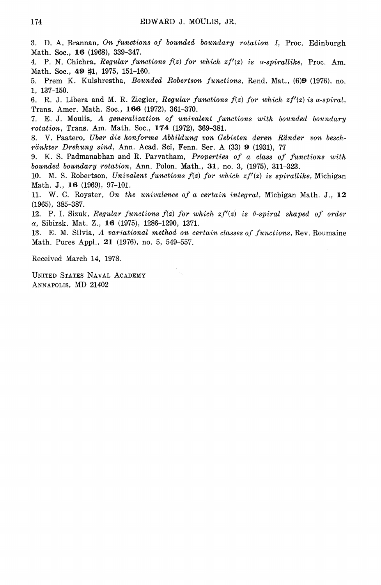3. D. A. Brannan, On functions of bounded boundary rotation I, Proc. Edinburgh Math. Soc., 16 (1968), 339-347.

4. P. N. Chichra, Regular functions  $f(z)$  for which  $zf'(z)$  is  $\alpha$ -spirallike, Proc. Am. Math. Soc., 49 #1, 1975, 151-160.

5. Prem K. Kulshrestha, Bounded Robertson functions, Rend. Mat., (6)9 (1976), no. 1, 137-150.

6. R. J. Libera and M. R. Ziegler, Regular functions  $f(z)$  for which  $zf'(z)$  is  $\alpha$ -spiral, Trans. Amer. Math. Soc., 166 (1972), 361-370.

E. J. Moulis, A generalization of univalent functions with bounded boundary 7. rotation, Trans. Am. Math. Soc., 174 (1972), 369-381.

V. Paatero, Uber die konforme Abbildung von Gebieten deren Ränder von beschränkter Drehung sind, Ann. Acad. Sci, Fenn. Ser. A (33) 9 (1931), 77

9. K. S. Padmanabhan and R. Parvatham, Properties of a class of functions with bounded boundary rotation, Ann. Polon. Math., 31, no. 3, (1975), 311-323.

10. M. S. Robertson, Univalent functions  $f(z)$  for which  $zf'(z)$  is spirallike, Michigan Math. J., 16 (1969), 97-101.

11. W. C. Royster, On the univalence of a certain integral, Michigan Math. J., 12  $(1965), 385 - 387.$ 

12. P. I. Sizuk, Regular functions  $f(z)$  for which  $zf'(z)$  is 0-spiral shaped of order  $\alpha$ , Sibirsk. Mat. Z., 16 (1975), 1286-1290, 1371.

13. E. M. Silvia, A variational method on certain classes of functions, Rev. Roumaine Math. Pures Appl., 21 (1976), no. 5, 549-557.

Received March 14, 1978.

UNITED STATES NAVAL ACADEMY ANNAPOLIS, MD 21402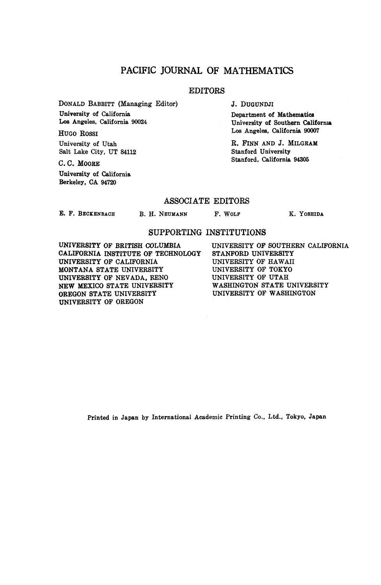## **PACIFIC JOURNAL OF MATHEMATICS**

### **EDITORS**

**DONALD BABBITT (Managing Editor) University of California Los Angeles, California 90024**

**HUGO ROSSI University of Utah Salt Lake City, UT 84112**

**C. C. MOORE University of California Berkeley, CA 94720**

**J. DUGUNDJI**

**Department of Mathematics University of Southern California Los Angeles, California 90007**

**R. FINN AND J. MILGRAM Stanford University Stanford, California 94305**

#### **ASSOCIATE EDITORS**

**£. F. BECKENBACH**

**B. H. NEUMANN F. WOLF K. YOSHIDA**

#### **SUPPORTING INSTITUTIONS**

**UNIVERSITY OF BRITISH COLUMBIA CALIFORNIA INSTITUTE OF TECHNOLOGY UNIVERSITY OF CALIFORNIA MONTANA STATE UNIVERSITY UNIVERSITY OF NEVADA, RENO NEW MEXICO STATE UNIVERSITY OREGON STATE UNIVERSITY UNIVERSITY OF OREGON**

**UNIVERSITY OF SOUTHERN CALIFORNIA STANFORD UNIVERSITY UNIVERSITY OF HAWAII UNIVERSITY OF TOKYO UNIVERSITY OF UTAH WASHINGTON STATE UNIVERSITY UNIVERSITY OF WASHINGTON**

**Printed in Japan by International Academic Printing Co., Ltd., Tokyo, Japan**